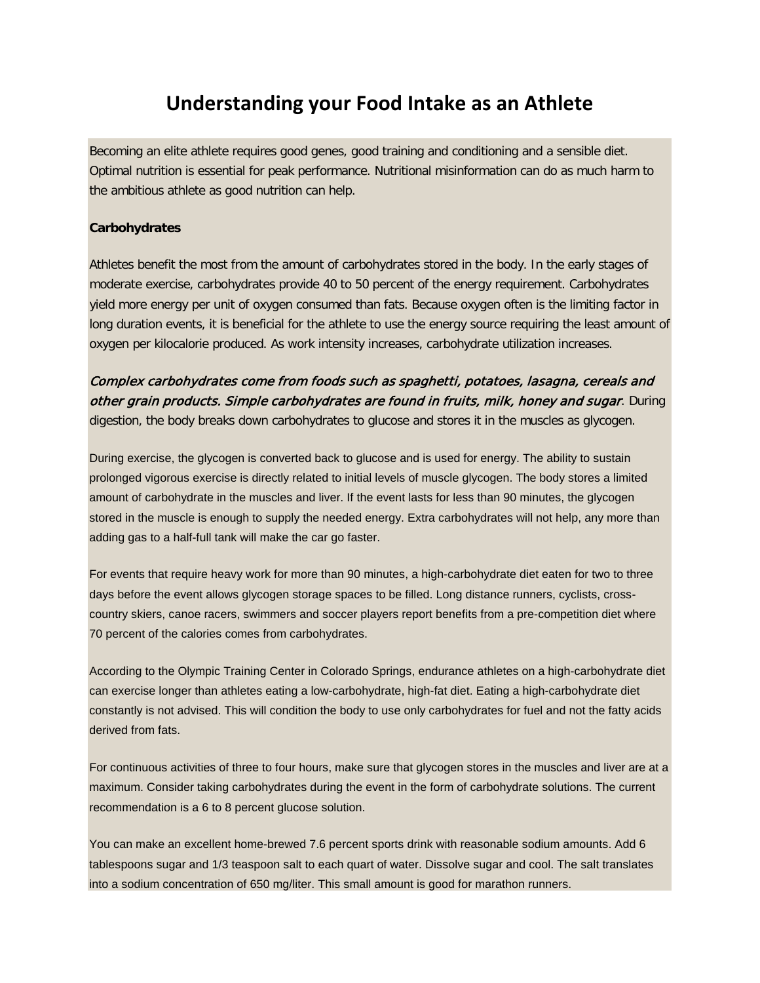# **Understanding your Food Intake as an Athlete**

Becoming an elite athlete requires good genes, good training and conditioning and a sensible diet. Optimal nutrition is essential for peak performance. Nutritional misinformation can do as much harm to the ambitious athlete as good nutrition can help.

#### **Carbohydrates**

Athletes benefit the most from the amount of carbohydrates stored in the body. In the early stages of moderate exercise, carbohydrates provide 40 to 50 percent of the energy requirement. Carbohydrates yield more energy per unit of oxygen consumed than fats. Because oxygen often is the limiting factor in long duration events, it is beneficial for the athlete to use the energy source requiring the least amount of oxygen per kilocalorie produced. As work intensity increases, carbohydrate utilization increases.

Complex carbohydrates come from foods such as spaghetti, potatoes, lasagna, cereals and other grain products. Simple carbohydrates are found in fruits, milk, honey and sugar. During digestion, the body breaks down carbohydrates to glucose and stores it in the muscles as glycogen.

During exercise, the glycogen is converted back to glucose and is used for energy. The ability to sustain prolonged vigorous exercise is directly related to initial levels of muscle glycogen. The body stores a limited amount of carbohydrate in the muscles and liver. If the event lasts for less than 90 minutes, the glycogen stored in the muscle is enough to supply the needed energy. Extra carbohydrates will not help, any more than adding gas to a half-full tank will make the car go faster.

For events that require heavy work for more than 90 minutes, a high-carbohydrate diet eaten for two to three days before the event allows glycogen storage spaces to be filled. Long distance runners, cyclists, crosscountry skiers, canoe racers, swimmers and soccer players report benefits from a pre-competition diet where 70 percent of the calories comes from carbohydrates.

According to the Olympic Training Center in Colorado Springs, endurance athletes on a high-carbohydrate diet can exercise longer than athletes eating a low-carbohydrate, high-fat diet. Eating a high-carbohydrate diet constantly is not advised. This will condition the body to use only carbohydrates for fuel and not the fatty acids derived from fats.

For continuous activities of three to four hours, make sure that glycogen stores in the muscles and liver are at a maximum. Consider taking carbohydrates during the event in the form of carbohydrate solutions. The current recommendation is a 6 to 8 percent glucose solution.

You can make an excellent home-brewed 7.6 percent sports drink with reasonable sodium amounts. Add 6 tablespoons sugar and 1/3 teaspoon salt to each quart of water. Dissolve sugar and cool. The salt translates into a sodium concentration of 650 mg/liter. This small amount is good for marathon runners.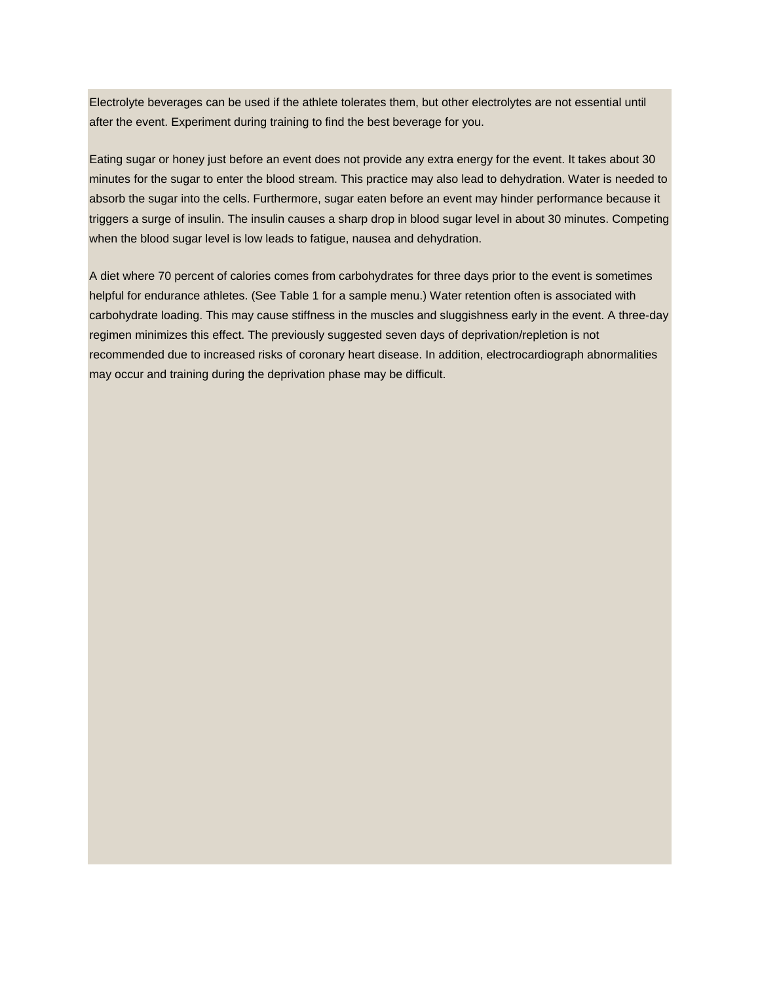Electrolyte beverages can be used if the athlete tolerates them, but other electrolytes are not essential until after the event. Experiment during training to find the best beverage for you.

Eating sugar or honey just before an event does not provide any extra energy for the event. It takes about 30 minutes for the sugar to enter the blood stream. This practice may also lead to dehydration. Water is needed to absorb the sugar into the cells. Furthermore, sugar eaten before an event may hinder performance because it triggers a surge of insulin. The insulin causes a sharp drop in blood sugar level in about 30 minutes. Competing when the blood sugar level is low leads to fatigue, nausea and dehydration.

A diet where 70 percent of calories comes from carbohydrates for three days prior to the event is sometimes helpful for endurance athletes. (See Table 1 for a sample menu.) Water retention often is associated with carbohydrate loading. This may cause stiffness in the muscles and sluggishness early in the event. A three-day regimen minimizes this effect. The previously suggested seven days of deprivation/repletion is not recommended due to increased risks of coronary heart disease. In addition, electrocardiograph abnormalities may occur and training during the deprivation phase may be difficult.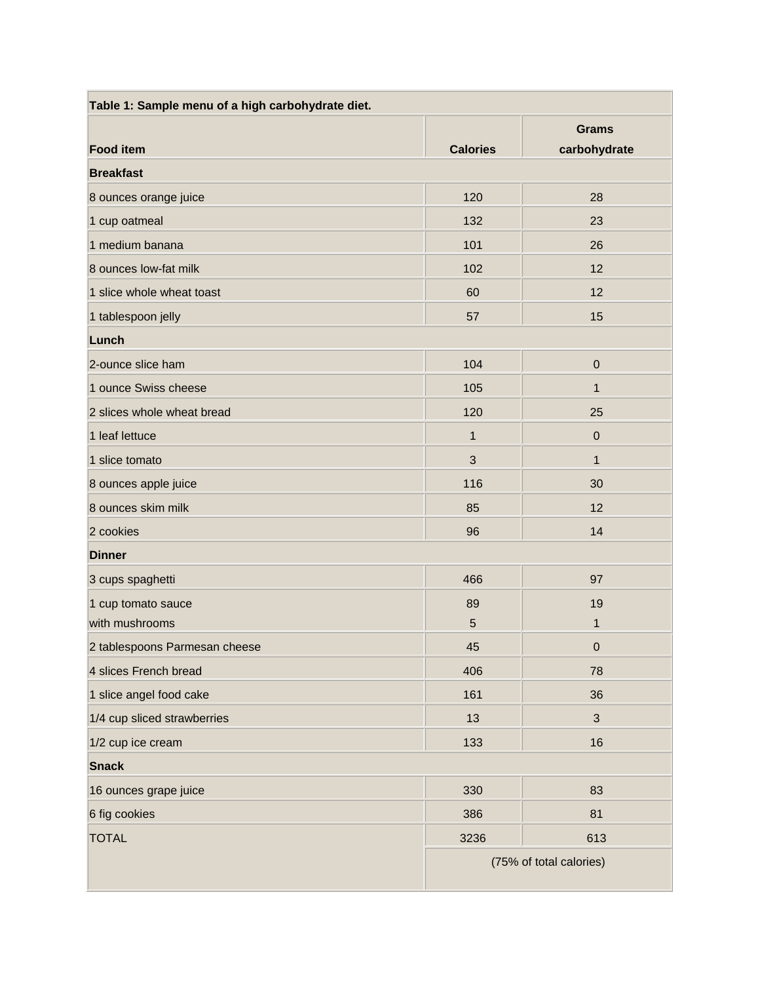| Table 1: Sample menu of a high carbohydrate diet. |                 |                         |
|---------------------------------------------------|-----------------|-------------------------|
|                                                   |                 | <b>Grams</b>            |
| <b>Food item</b>                                  | <b>Calories</b> | carbohydrate            |
| <b>Breakfast</b>                                  |                 |                         |
| 8 ounces orange juice                             | 120             | 28                      |
| 1 cup oatmeal                                     | 132             | 23                      |
| 1 medium banana                                   | 101             | 26                      |
| 8 ounces low-fat milk                             | 102             | 12                      |
| 1 slice whole wheat toast                         | 60              | 12                      |
| 1 tablespoon jelly                                | 57              | 15                      |
| Lunch                                             |                 |                         |
| 2-ounce slice ham                                 | 104             | $\pmb{0}$               |
| 1 ounce Swiss cheese                              | 105             | $\mathbf{1}$            |
| 2 slices whole wheat bread                        | 120             | 25                      |
| 1 leaf lettuce                                    | 1               | $\pmb{0}$               |
| 1 slice tomato                                    | 3               | $\mathbf{1}$            |
| 8 ounces apple juice                              | 116             | 30                      |
| 8 ounces skim milk                                | 85              | 12                      |
| 2 cookies                                         | 96              | 14                      |
| <b>Dinner</b>                                     |                 |                         |
| 3 cups spaghetti                                  | 466             | 97                      |
| 1 cup tomato sauce                                | 89              | 19                      |
| with mushrooms                                    | 5               | 1                       |
| 2 tablespoons Parmesan cheese                     | 45              | $\Omega$                |
| 4 slices French bread                             | 406             | 78                      |
| 1 slice angel food cake                           | 161             | 36                      |
| 1/4 cup sliced strawberries                       | 13              | $\mathfrak{S}$          |
| 1/2 cup ice cream                                 | 133             | 16                      |
| <b>Snack</b>                                      |                 |                         |
| 16 ounces grape juice                             | 330             | 83                      |
| 6 fig cookies                                     | 386             | 81                      |
| <b>TOTAL</b>                                      | 3236            | 613                     |
|                                                   |                 | (75% of total calories) |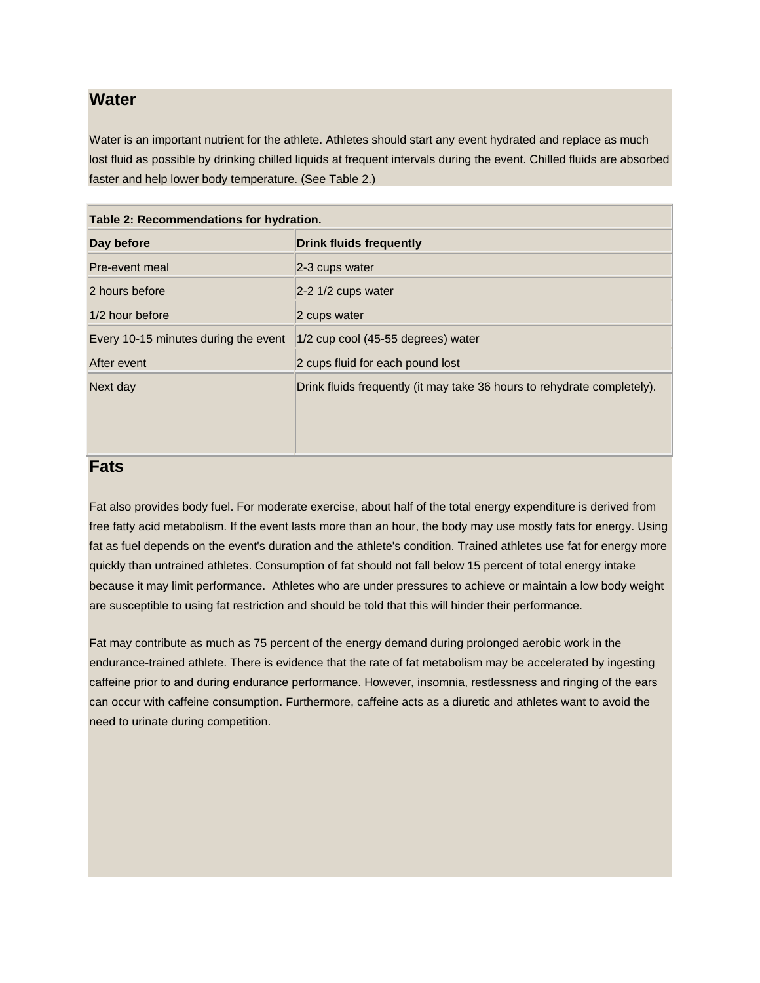#### **Water**

Water is an important nutrient for the athlete. Athletes should start any event hydrated and replace as much lost fluid as possible by drinking chilled liquids at frequent intervals during the event. Chilled fluids are absorbed faster and help lower body temperature. (See Table 2.)

| Table 2: Recommendations for hydration. |                                                                         |  |
|-----------------------------------------|-------------------------------------------------------------------------|--|
| Day before                              | <b>Drink fluids frequently</b>                                          |  |
| Pre-event meal                          | 2-3 cups water                                                          |  |
| 2 hours before                          | $2-2$ 1/2 cups water                                                    |  |
| 1/2 hour before                         | 2 cups water                                                            |  |
| Every 10-15 minutes during the event    | $ 1/2$ cup cool (45-55 degrees) water                                   |  |
| After event                             | 2 cups fluid for each pound lost                                        |  |
| Next day                                | Drink fluids frequently (it may take 36 hours to rehydrate completely). |  |
|                                         |                                                                         |  |
|                                         |                                                                         |  |
|                                         |                                                                         |  |

#### **Fats**

Fat also provides body fuel. For moderate exercise, about half of the total energy expenditure is derived from free fatty acid metabolism. If the event lasts more than an hour, the body may use mostly fats for energy. Using fat as fuel depends on the event's duration and the athlete's condition. Trained athletes use fat for energy more quickly than untrained athletes. Consumption of fat should not fall below 15 percent of total energy intake because it may limit performance. Athletes who are under pressures to achieve or maintain a low body weight are susceptible to using fat restriction and should be told that this will hinder their performance.

Fat may contribute as much as 75 percent of the energy demand during prolonged aerobic work in the endurance-trained athlete. There is evidence that the rate of fat metabolism may be accelerated by ingesting caffeine prior to and during endurance performance. However, insomnia, restlessness and ringing of the ears can occur with caffeine consumption. Furthermore, caffeine acts as a diuretic and athletes want to avoid the need to urinate during competition.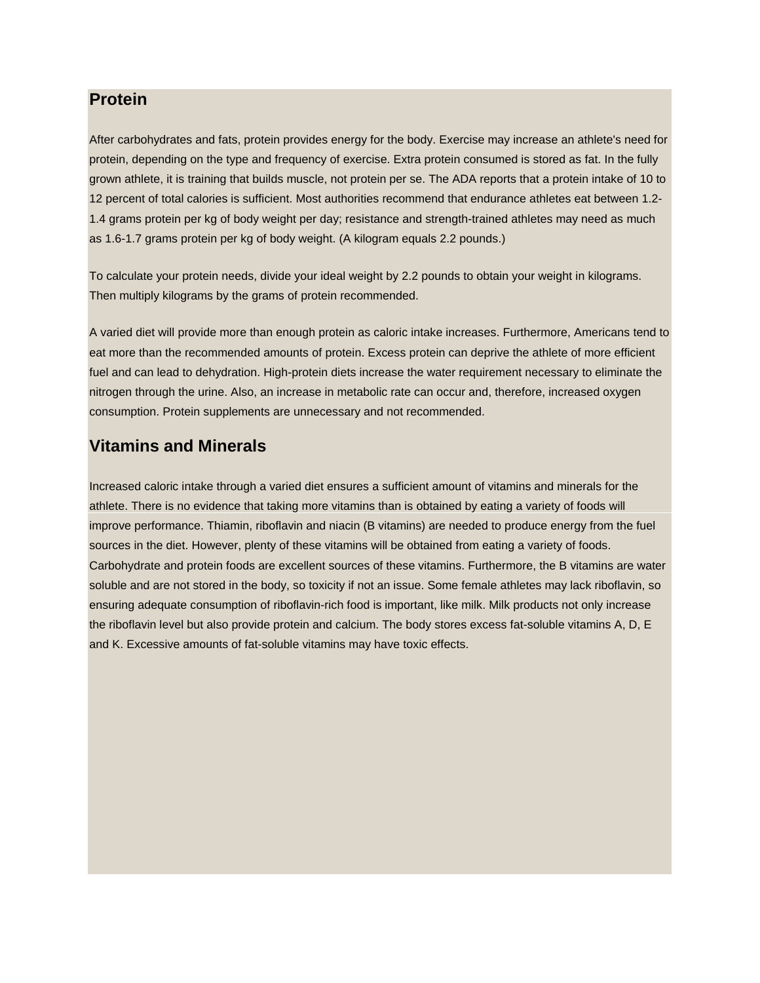### **Protein**

After carbohydrates and fats, protein provides energy for the body. Exercise may increase an athlete's need for protein, depending on the type and frequency of exercise. Extra protein consumed is stored as fat. In the fully grown athlete, it is training that builds muscle, not protein per se. The ADA reports that a protein intake of 10 to 12 percent of total calories is sufficient. Most authorities recommend that endurance athletes eat between 1.2- 1.4 grams protein per kg of body weight per day; resistance and strength-trained athletes may need as much as 1.6-1.7 grams protein per kg of body weight. (A kilogram equals 2.2 pounds.)

To calculate your protein needs, divide your ideal weight by 2.2 pounds to obtain your weight in kilograms. Then multiply kilograms by the grams of protein recommended.

A varied diet will provide more than enough protein as caloric intake increases. Furthermore, Americans tend to eat more than the recommended amounts of protein. Excess protein can deprive the athlete of more efficient fuel and can lead to dehydration. High-protein diets increase the water requirement necessary to eliminate the nitrogen through the urine. Also, an increase in metabolic rate can occur and, therefore, increased oxygen consumption. Protein supplements are unnecessary and not recommended.

## **Vitamins and Minerals**

Increased caloric intake through a varied diet ensures a sufficient amount of vitamins and minerals for the athlete. There is no evidence that taking more vitamins than is obtained by eating a variety of foods will improve performance. Thiamin, riboflavin and niacin (B vitamins) are needed to produce energy from the fuel sources in the diet. However, plenty of these vitamins will be obtained from eating a variety of foods. Carbohydrate and protein foods are excellent sources of these vitamins. Furthermore, the B vitamins are water soluble and are not stored in the body, so toxicity if not an issue. Some female athletes may lack riboflavin, so ensuring adequate consumption of riboflavin-rich food is important, like milk. Milk products not only increase the riboflavin level but also provide protein and calcium. The body stores excess fat-soluble vitamins A, D, E and K. Excessive amounts of fat-soluble vitamins may have toxic effects.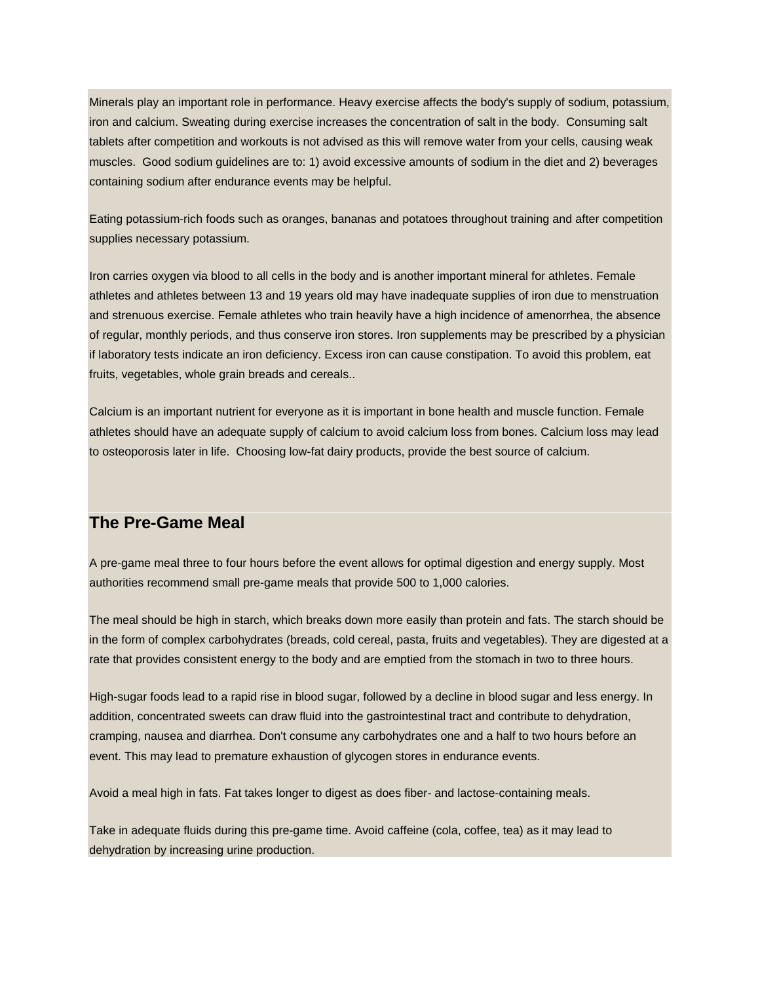Minerals play an important role in performance. Heavy exercise affects the body's supply of sodium, potassium, iron and calcium. Sweating during exercise increases the concentration of salt in the body. Consuming salt tablets after competition and workouts is not advised as this will remove water from your cells, causing weak muscles. Good sodium guidelines are to: 1) avoid excessive amounts of sodium in the diet and 2) beverages containing sodium after endurance events may be helpful.

Eating potassium-rich foods such as oranges, bananas and potatoes throughout training and after competition supplies necessary potassium.

Iron carries oxygen via blood to all cells in the body and is another important mineral for athletes. Female athletes and athletes between 13 and 19 years old may have inadequate supplies of iron due to menstruation and strenuous exercise. Female athletes who train heavily have a high incidence of amenorrhea, the absence of regular, monthly periods, and thus conserve iron stores. Iron supplements may be prescribed by a physician if laboratory tests indicate an iron deficiency. Excess iron can cause constipation. To avoid this problem, eat fruits, vegetables, whole grain breads and cereals..

Calcium is an important nutrient for everyone as it is important in bone health and muscle function. Female athletes should have an adequate supply of calcium to avoid calcium loss from bones. Calcium loss may lead to osteoporosis later in life. Choosing low-fat dairy products, provide the best source of calcium.

### **The Pre-Game Meal**

A pre-game meal three to four hours before the event allows for optimal digestion and energy supply. Most authorities recommend small pre-game meals that provide 500 to 1,000 calories.

The meal should be high in starch, which breaks down more easily than protein and fats. The starch should be in the form of complex carbohydrates (breads, cold cereal, pasta, fruits and vegetables). They are digested at a rate that provides consistent energy to the body and are emptied from the stomach in two to three hours.

High-sugar foods lead to a rapid rise in blood sugar, followed by a decline in blood sugar and less energy. In addition, concentrated sweets can draw fluid into the gastrointestinal tract and contribute to dehydration, cramping, nausea and diarrhea. Don't consume any carbohydrates one and a half to two hours before an event. This may lead to premature exhaustion of glycogen stores in endurance events.

Avoid a meal high in fats. Fat takes longer to digest as does fiber- and lactose-containing meals.

Take in adequate fluids during this pre-game time. Avoid caffeine (cola, coffee, tea) as it may lead to dehydration by increasing urine production.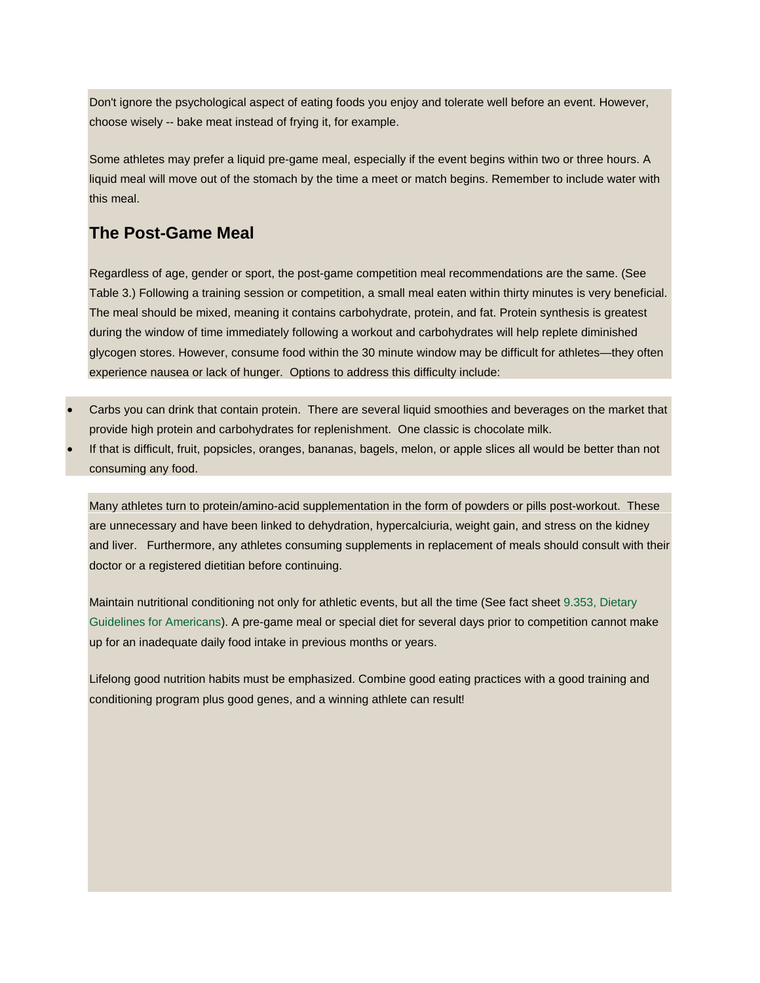Don't ignore the psychological aspect of eating foods you enjoy and tolerate well before an event. However, choose wisely -- bake meat instead of frying it, for example.

Some athletes may prefer a liquid pre-game meal, especially if the event begins within two or three hours. A liquid meal will move out of the stomach by the time a meet or match begins. Remember to include water with this meal.

## **The Post-Game Meal**

Regardless of age, gender or sport, the post-game competition meal recommendations are the same. (See Table 3.) Following a training session or competition, a small meal eaten within thirty minutes is very beneficial. The meal should be mixed, meaning it contains carbohydrate, protein, and fat. Protein synthesis is greatest during the window of time immediately following a workout and carbohydrates will help replete diminished glycogen stores. However, consume food within the 30 minute window may be difficult for athletes—they often experience nausea or lack of hunger. Options to address this difficulty include:

- Carbs you can drink that contain protein. There are several liquid smoothies and beverages on the market that provide high protein and carbohydrates for replenishment. One classic is chocolate milk.
- If that is difficult, fruit, popsicles, oranges, bananas, bagels, melon, or apple slices all would be better than not consuming any food.

Many athletes turn to protein/amino-acid supplementation in the form of powders or pills post-workout. These are unnecessary and have been linked to dehydration, hypercalciuria, weight gain, and stress on the kidney and liver. Furthermore, any athletes consuming supplements in replacement of meals should consult with their doctor or a registered dietitian before continuing.

Maintain nutritional conditioning not only for athletic events, but all the time (See fact sheet [9.353, Dietary](http://www.ext.colostate.edu/pubs/foodnut/09353.html)  [Guidelines for Americans\)](http://www.ext.colostate.edu/pubs/foodnut/09353.html). A pre-game meal or special diet for several days prior to competition cannot make up for an inadequate daily food intake in previous months or years.

Lifelong good nutrition habits must be emphasized. Combine good eating practices with a good training and conditioning program plus good genes, and a winning athlete can result!